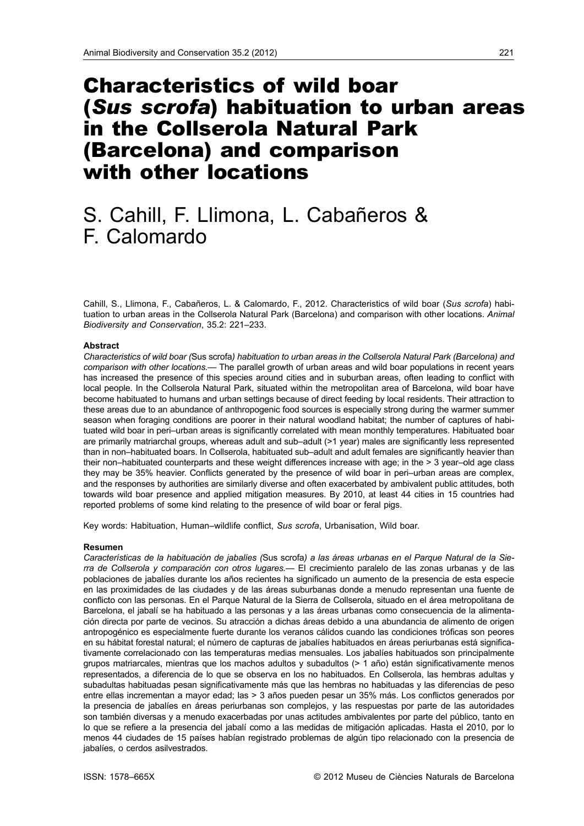# Characteristics of wild boar (*Sus scrofa*) habituation to urban areas in the Collserola Natural Park (Barcelona) and comparison with other locations

# S. Cahill, F. Llimona, L. Cabañeros & F. Calomardo

Cahill, S., Llimona, F., Cabañeros, L. & Calomardo, F., 2012. Characteristics of wild boar (*Sus scrofa*) habituation to urban areas in the Collserola Natural Park (Barcelona) and comparison with other locations. *Animal Biodiversity and Conservation*, 35.2: 221–233.

## **Abstract**

*Characteristics of wild boar (*Sus scrofa*) habituation to urban areas in the Collserola Natural Park (Barcelona) and comparison with other locations.—* The parallel growth of urban areas and wild boar populations in recent years has increased the presence of this species around cities and in suburban areas, often leading to conflict with local people. In the Collserola Natural Park, situated within the metropolitan area of Barcelona, wild boar have become habituated to humans and urban settings because of direct feeding by local residents. Their attraction to these areas due to an abundance of anthropogenic food sources is especially strong during the warmer summer season when foraging conditions are poorer in their natural woodland habitat; the number of captures of habituated wild boar in peri–urban areas is significantly correlated with mean monthly temperatures. Habituated boar are primarily matriarchal groups, whereas adult and sub–adult (>1 year) males are significantly less represented than in non–habituated boars. In Collserola, habituated sub–adult and adult females are significantly heavier than their non–habituated counterparts and these weight differences increase with age; in the > 3 year–old age class they may be 35% heavier. Conflicts generated by the presence of wild boar in peri–urban areas are complex, and the responses by authorities are similarly diverse and often exacerbated by ambivalent public attitudes, both towards wild boar presence and applied mitigation measures. By 2010, at least 44 cities in 15 countries had reported problems of some kind relating to the presence of wild boar or feral pigs.

Key words: Habituation, Human–wildlife conflict, *Sus scrofa*, Urbanisation, Wild boar.

## **Resumen**

*Características de la habituación de jabalíes (*Sus scrofa*) a las áreas urbanas en el Parque Natural de la Sierra de Collserola y comparación con otros lugares.—* El crecimiento paralelo de las zonas urbanas y de las poblaciones de jabalíes durante los años recientes ha significado un aumento de la presencia de esta especie en las proximidades de las ciudades y de las áreas suburbanas donde a menudo representan una fuente de conflicto con las personas. En el Parque Natural de la Sierra de Collserola, situado en el área metropolitana de Barcelona, el jabalí se ha habituado a las personas y a las áreas urbanas como consecuencia de la alimentación directa por parte de vecinos. Su atracción a dichas áreas debido a una abundancia de alimento de origen antropogénico es especialmente fuerte durante los veranos cálidos cuando las condiciones tróficas son peores en su hábitat forestal natural; el número de capturas de jabalíes habituados en áreas periurbanas está significativamente correlacionado con las temperaturas medias mensuales. Los jabalíes habituados son principalmente grupos matriarcales, mientras que los machos adultos y subadultos (> 1 año) están significativamente menos representados, a diferencia de lo que se observa en los no habituados. En Collserola, las hembras adultas y subadultas habituadas pesan significativamente más que las hembras no habituadas y las diferencias de peso entre ellas incrementan a mayor edad; las > 3 años pueden pesar un 35% más. Los conflictos generados por la presencia de jabalíes en áreas periurbanas son complejos, y las respuestas por parte de las autoridades son también diversas y a menudo exacerbadas por unas actitudes ambivalentes por parte del público, tanto en lo que se refiere a la presencia del jabalí como a las medidas de mitigación aplicadas. Hasta el 2010, por lo menos 44 ciudades de 15 países habían registrado problemas de algún tipo relacionado con la presencia de jabalíes, o cerdos asilvestrados.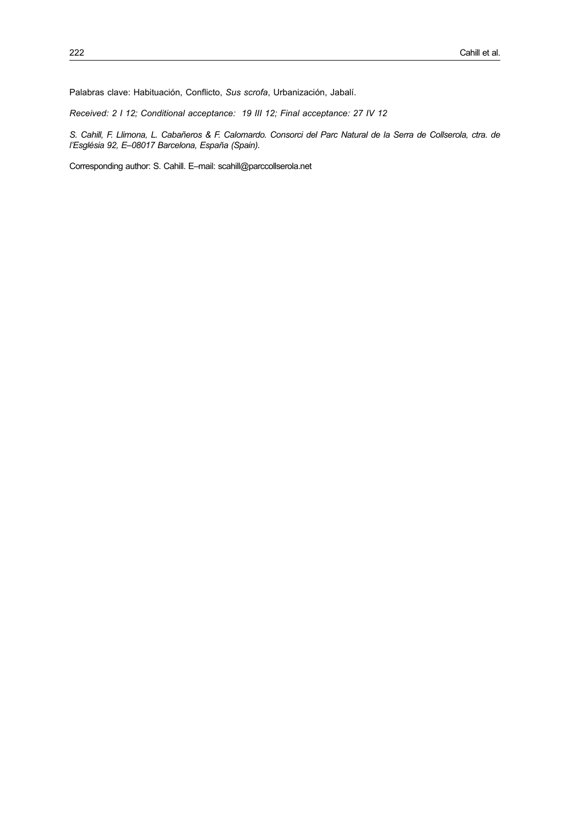Palabras clave: Habituación, Conflicto, *Sus scrofa*, Urbanización, Jabalí.

*Received: 2 I 12; Conditional acceptance: 19 III 12; Final acceptance: 27 IV 12*

*S. Cahill, F. Llimona, L. Cabañeros & F. Calomardo. Consorci del Parc Natural de la Serra de Collserola, ctra. de l'Església 92, E–08017 Barcelona, España (Spain)*.

Corresponding author: S. Cahill. E–mail: [scahill@parccollserola.net](mailto:scahill@parccollserola.net)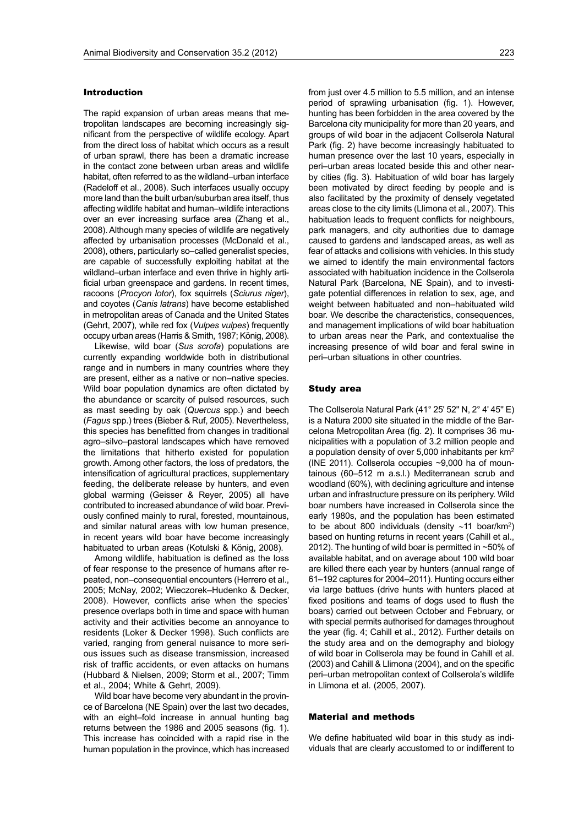#### Introduction

The rapid expansion of urban areas means that metropolitan landscapes are becoming increasingly significant from the perspective of wildlife ecology. Apart from the direct loss of habitat which occurs as a result of urban sprawl, there has been a dramatic increase in the contact zone between urban areas and wildlife habitat, often referred to as the wildland–urban interface (Radeloff et al., 2008). Such interfaces usually occupy more land than the built urban/suburban area itself, thus affecting wildlife habitat and human–wildlife interactions over an ever increasing surface area (Zhang et al., 2008). Although many species of wildlife are negatively affected by urbanisation processes (McDonald et al., 2008), others, particularly so–called generalist species, are capable of successfully exploiting habitat at the wildland–urban interface and even thrive in highly artificial urban greenspace and gardens. In recent times, racoons (*Procyon lotor*), fox squirrels (*Sciurus niger*), and coyotes (*Canis latrans*) have become established in metropolitan areas of Canada and the United States (Gehrt, 2007), while red fox (*Vulpes vulpes*) frequently occupy urban areas (Harris & Smith, 1987; König, 2008).

Likewise, wild boar (*Sus scrofa*) populations are currently expanding worldwide both in distributional range and in numbers in many countries where they are present, either as a native or non–native species. Wild boar population dynamics are often dictated by the abundance or scarcity of pulsed resources, such as mast seeding by oak (*Quercus* spp.) and beech (*Fagus* spp.) trees (Bieber & Ruf, 2005). Nevertheless, this species has benefitted from changes in traditional agro–silvo–pastoral landscapes which have removed the limitations that hitherto existed for population growth. Among other factors, the loss of predators, the intensification of agricultural practices, supplementary feeding, the deliberate release by hunters, and even global warming (Geisser & Reyer, 2005) all have contributed to increased abundance of wild boar. Previously confined mainly to rural, forested, mountainous, and similar natural areas with low human presence, in recent years wild boar have become increasingly habituated to urban areas (Kotulski & König, 2008).

Among wildlife, habituation is defined as the loss of fear response to the presence of humans after repeated, non–consequential encounters (Herrero et al., 2005; McNay, 2002; Wieczorek–Hudenko & Decker, 2008). However, conflicts arise when the species' presence overlaps both in time and space with human activity and their activities become an annoyance to residents (Loker & Decker 1998). Such conflicts are varied, ranging from general nuisance to more serious issues such as disease transmission, increased risk of traffic accidents, or even attacks on humans (Hubbard & Nielsen, 2009; Storm et al., 2007; Timm et al., 2004; White & Gehrt, 2009).

Wild boar have become very abundant in the province of Barcelona (NE Spain) over the last two decades, with an eight–fold increase in annual hunting bag returns between the 1986 and 2005 seasons (fig. 1). This increase has coincided with a rapid rise in the human population in the province, which has increased from just over 4.5 million to 5.5 million, and an intense period of sprawling urbanisation (fig. 1). However, hunting has been forbidden in the area covered by the Barcelona city municipality for more than 20 years, and groups of wild boar in the adjacent Collserola Natural Park (fig. 2) have become increasingly habituated to human presence over the last 10 years, especially in peri–urban areas located beside this and other nearby cities (fig. 3). Habituation of wild boar has largely been motivated by direct feeding by people and is also facilitated by the proximity of densely vegetated areas close to the city limits (Llimona et al., 2007). This habituation leads to frequent conflicts for neighbours, park managers, and city authorities due to damage caused to gardens and landscaped areas, as well as fear of attacks and collisions with vehicles. In this study we aimed to identify the main environmental factors associated with habituation incidence in the Collserola Natural Park (Barcelona, NE Spain), and to investigate potential differences in relation to sex, age, and weight between habituated and non–habituated wild boar. We describe the characteristics, consequences, and management implications of wild boar habituation to urban areas near the Park, and contextualise the

increasing presence of wild boar and feral swine in

peri–urban situations in other countries.

#### Study area

The Collserola Natural Park (41° 25' 52'' N, 2° 4' 45'' E) is a Natura 2000 site situated in the middle of the Barcelona Metropolitan Area (fig. 2). It comprises 36 municipalities with a population of 3.2 million people and a population density of over 5,000 inhabitants per km2 (INE 2011). Collserola occupies ~9,000 ha of mountainous (60–512 m a.s.l.) Mediterranean scrub and woodland (60%), with declining agriculture and intense urban and infrastructure pressure on its periphery. Wild boar numbers have increased in Collserola since the early 1980s, and the population has been estimated to be about 800 individuals (density  $~11$  boar/km<sup>2</sup>) based on hunting returns in recent years (Cahill et al., 2012). The hunting of wild boar is permitted in ~50% of available habitat, and on average about 100 wild boar are killed there each year by hunters (annual range of 61–192 captures for 2004–2011). Hunting occurs either via large battues (drive hunts with hunters placed at fixed positions and teams of dogs used to flush the boars) carried out between October and February, or with special permits authorised for damages throughout the year (fig. 4; Cahill et al., 2012). Further details on the study area and on the demography and biology of wild boar in Collserola may be found in Cahill et al. (2003) and Cahill & Llimona (2004), and on the specific peri–urban metropolitan context of Collserola's wildlife in Llimona et al. (2005, 2007).

### Material and methods

We define habituated wild boar in this study as individuals that are clearly accustomed to or indifferent to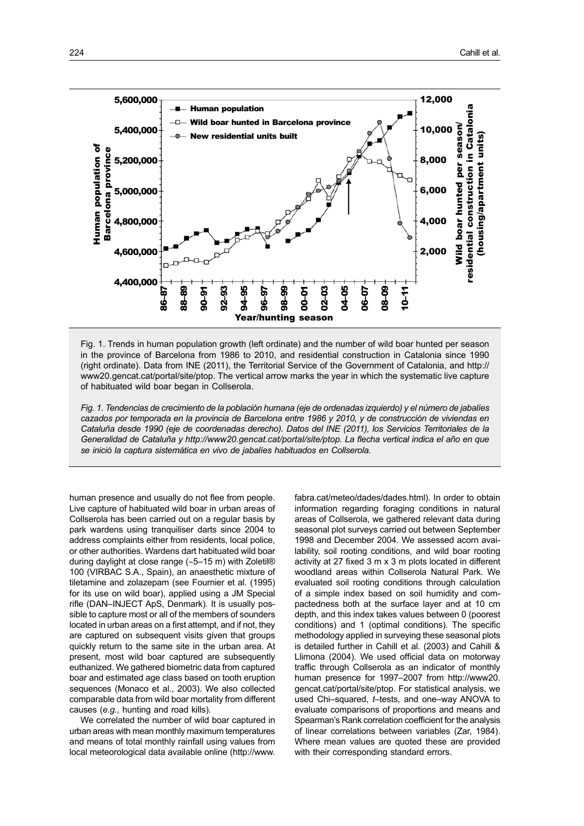

Fig. 1. Trends in human population growth (left ordinate) and the number of wild boar hunted per season in the province of Barcelona from 1986 to 2010, and residential construction in Catalonia since 1990 (right ordinate). Data from INE (2011), the Territorial Service of the Government of Catalonia, and [http://](http://www20.gencat.cat/portal/site/ptop) [www20.gencat.cat/portal/site/ptop](http://www20.gencat.cat/portal/site/ptop). The vertical arrow marks the year in which the systematic live capture of habituated wild boar began in Collserola.

*Fig. 1. Tendencias de crecimiento de la población humana (eje de ordenadas izquierdo) y el número de jabalíes cazados por temporada en la provincia de Barcelona entre 1986 y 2010, y de construcción de viviendas en Cataluña desde 1990 (eje de coordenadas derecho). Datos del INE (2011), los Servicios Territoriales de la Generalidad de Cataluña y [http://www20.gencat.cat/portal/site/ptop.](http://edis.ifas.ufl.edu/uw322) La flecha vertical indica el año en que se inició la captura sistemática en vivo de jabalíes habituados en Collserola.* 

human presence and usually do not flee from people. Live capture of habituated wild boar in urban areas of Collserola has been carried out on a regular basis by park wardens using tranquiliser darts since 2004 to address complaints either from residents, local police, or other authorities. Wardens dart habituated wild boar during daylight at close range (~5–15 m) with Zoletil® 100 (VIRBAC S.A., Spain), an anaesthetic mixture of tiletamine and zolazepam (see Fournier et al. (1995) for its use on wild boar), applied using a JM Special rifle (DAN–INJECT ApS, Denmark). It is usually possible to capture most or all of the members of sounders located in urban areas on a first attempt, and if not, they are captured on subsequent visits given that groups quickly return to the same site in the urban area. At present, most wild boar captured are subsequently euthanized. We gathered biometric data from captured boar and estimated age class based on tooth eruption sequences (Monaco et al., 2003). We also collected comparable data from wild boar mortality from different causes (*e.g.,* hunting and road kills).

We correlated the number of wild boar captured in urban areas with mean monthly maximum temperatures and means of total monthly rainfall using values from local meteorological data available online [\(http://www.](http://www.fabra.cat/meteo/dades/dades.html)

[fabra.cat/meteo/dades/dades.html\)](http://www.fabra.cat/meteo/dades/dades.html). In order to obtain information regarding foraging conditions in natural areas of Collserola, we gathered relevant data during seasonal plot surveys carried out between September 1998 and December 2004. We assessed acorn availability, soil rooting conditions, and wild boar rooting activity at 27 fixed 3 m x 3 m plots located in different woodland areas within Collserola Natural Park. We evaluated soil rooting conditions through calculation of a simple index based on soil humidity and compactedness both at the surface layer and at 10 cm depth, and this index takes values between 0 (poorest conditions) and 1 (optimal conditions). The specific methodology applied in surveying these seasonal plots is detailed further in Cahill et al. (2003) and Cahill & Llimona (2004). We used official data on motorway traffic through Collserola as an indicator of monthly human presence for 1997–2007 from [http://www20.](http://www20.gencat.cat/portal/site/ptop) [gencat.cat/portal/site/ptop](http://www20.gencat.cat/portal/site/ptop). For statistical analysis, we used Chi–squared, *t*–tests, and one–way ANOVA to evaluate comparisons of proportions and means and Spearman's Rank correlation coefficient for the analysis of linear correlations between variables (Zar, 1984). Where mean values are quoted these are provided with their corresponding standard errors.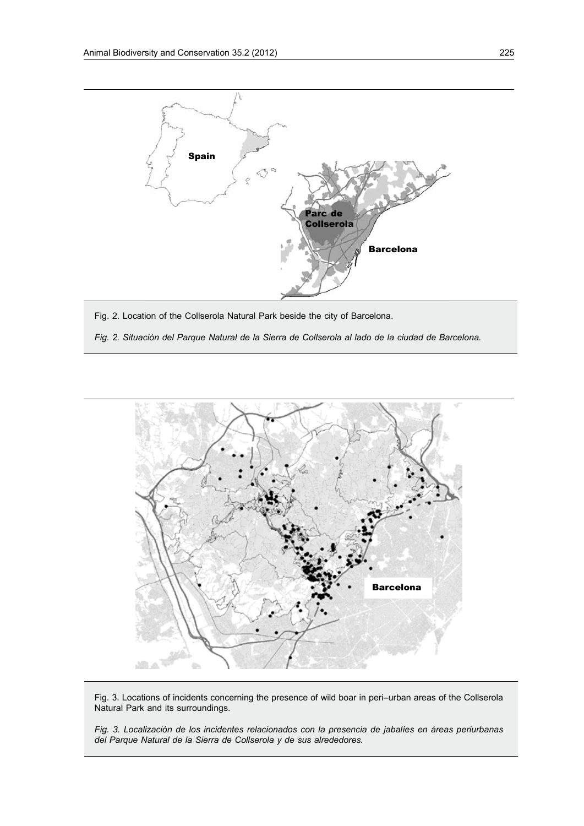

Fig. 2. Location of the Collserola Natural Park beside the city of Barcelona.

*Fig. 2. Situación del Parque Natural de la Sierra de Collserola al lado de la ciudad de Barcelona.*



Fig. 3. Locations of incidents concerning the presence of wild boar in peri–urban areas of the Collserola Natural Park and its surroundings.

*Fig. 3. Localización de los incidentes relacionados con la presencia de jabalíes en áreas periurbanas del Parque Natural de la Sierra de Collserola y de sus alrededores.*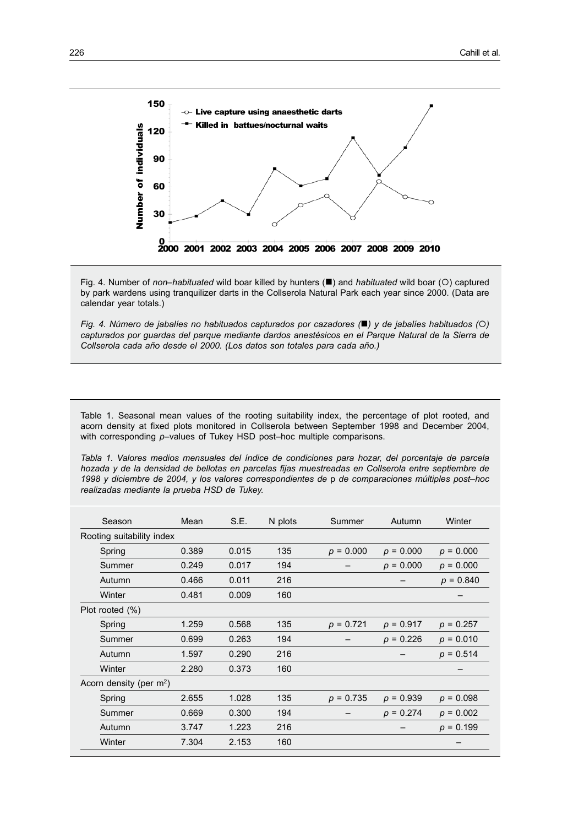

Fig. 4. Number of *non–habituated* wild boar killed by hunters ( $\blacksquare$ ) and *habituated* wild boar (O) captured by park wardens using tranquilizer darts in the Collserola Natural Park each year since 2000. (Data are calendar year totals.)

*Fig. 4. Número de jabalíes no habituados capturados por cazadores* ( $\blacksquare$ ) y de *jabalíes habituados* ( $\bigcirc$ ) *capturados por guardas del parque mediante dardos anestésicos en el Parque Natural de la Sierra de* 

Table 1. Seasonal mean values of the rooting suitability index, the percentage of plot rooted, and acorn density at fixed plots monitored in Collserola between September 1998 and December 2004, with corresponding *p*-values of Tukey HSD post-hoc multiple comparisons.

*Tabla 1. Valores medios mensuales del índice de condiciones para hozar, del porcentaje de parcela hozada y de la densidad de bellotas en parcelas fijas muestreadas en Collserola entre septiembre de 1998 y diciembre de 2004, y los valores correspondientes de* p *de comparaciones múltiples post–hoc realizadas mediante la prueba HSD de Tukey.*

| Season | Mean                                          | S.E.                      | N plots | Summer      | Autumn      | Winter      |
|--------|-----------------------------------------------|---------------------------|---------|-------------|-------------|-------------|
|        |                                               |                           |         |             |             |             |
| Spring | 0.389                                         | 0.015                     | 135     | $p = 0.000$ | $p = 0.000$ | $p = 0.000$ |
| Summer | 0.249                                         | 0.017                     | 194     |             | $p = 0.000$ | $p = 0.000$ |
| Autumn | 0.466                                         | 0.011                     | 216     |             |             | $p = 0.840$ |
| Winter | 0.481                                         | 0.009                     | 160     |             |             |             |
|        |                                               |                           |         |             |             |             |
| Spring | 1.259                                         | 0.568                     | 135     | $p = 0.721$ | $p = 0.917$ | $p = 0.257$ |
| Summer | 0.699                                         | 0.263                     | 194     |             | $p = 0.226$ | $p = 0.010$ |
| Autumn | 1.597                                         | 0.290                     | 216     |             |             | $p = 0.514$ |
| Winter | 2.280                                         | 0.373                     | 160     |             |             |             |
|        |                                               |                           |         |             |             |             |
| Spring | 2.655                                         | 1.028                     | 135     | $p = 0.735$ | $p = 0.939$ | $p = 0.098$ |
| Summer | 0.669                                         | 0.300                     | 194     |             | $p = 0.274$ | $p = 0.002$ |
| Autumn | 3.747                                         | 1.223                     | 216     |             |             | $p = 0.199$ |
| Winter | 7.304                                         | 2.153                     | 160     |             |             |             |
|        | Plot rooted (%)<br>Acorn density (per $m^2$ ) | Rooting suitability index |         |             |             |             |

Ī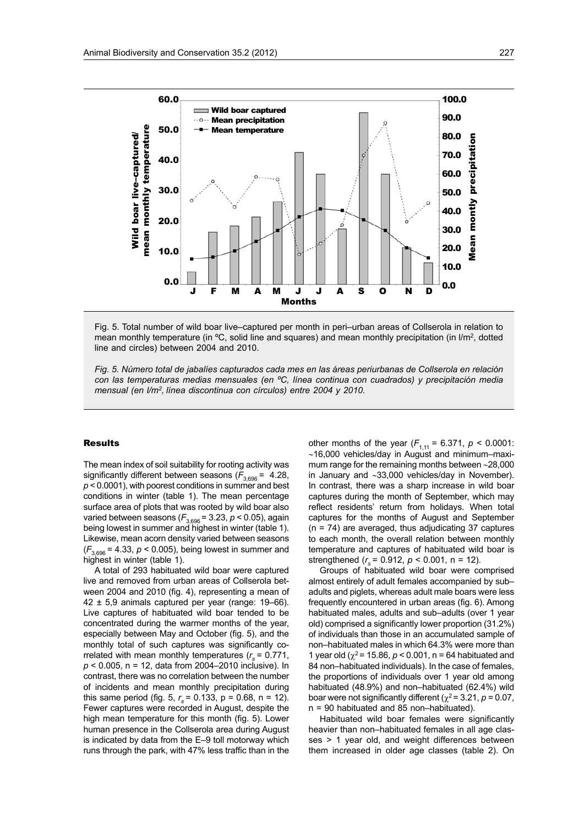

Fig. 5. Total number of wild boar live–captured per month in peri–urban areas of Collserola in relation to mean monthly temperature (in °C, solid line and squares) and mean monthly precipitation (in I/m<sup>2</sup>, dotted line and circles) between 2004 and 2010.

*Fig. 5. Número total de jabalíes capturados cada mes en las áreas periurbanas de Collserola en relación con las temperaturas medias mensuales (en ºC, línea continua con cuadrados) y precipitación media mensual (en l/m2, línea discontinua con círculos) entre 2004 y 2010.* 

#### Results

The mean index of soil suitability for rooting activity was significantly different between seasons  $(F_{3,696} = 4.28,$ *p* < 0.0001), with poorest conditions in summer and best conditions in winter (table 1). The mean percentage surface area of plots that was rooted by wild boar also varied between seasons (*F*3,696 = 3.23, *p* < 0.05), again being lowest in summer and highest in winter (table 1). Likewise, mean acorn density varied between seasons  $(F_{3,696} = 4.33, p < 0.005)$ , being lowest in summer and highest in winter (table 1).

A total of 293 habituated wild boar were captured live and removed from urban areas of Collserola between 2004 and 2010 (fig. 4), representing a mean of  $42 \pm 5.9$  animals captured per year (range: 19-66). Live captures of habituated wild boar tended to be concentrated during the warmer months of the year, especially between May and October (fig. 5), and the monthly total of such captures was significantly correlated with mean monthly temperatures (*r <sup>s</sup>*= 0.771, *p* < 0.005, n = 12, data from 2004–2010 inclusive). In contrast, there was no correlation between the number of incidents and mean monthly precipitation during this same period (fig. 5,  $r_s$  = 0.133, p = 0.68, n = 12). Fewer captures were recorded in August, despite the high mean temperature for this month (fig. 5). Lower human presence in the Collserola area during August is indicated by data from the E–9 toll motorway which runs through the park, with 47% less traffic than in the

other months of the year  $(F_{1,11} = 6.371, p < 0.0001$ :  $~16,000$  vehicles/day in August and minimum–maximum range for the remaining months between ~28,000 in January and ~33,000 vehicles/day in November). In contrast, there was a sharp increase in wild boar captures during the month of September, which may reflect residents' return from holidays. When total captures for the months of August and September (n = 74) are averaged, thus adjudicating 37 captures to each month, the overall relation between monthly temperature and captures of habituated wild boar is strengthened (*r <sup>s</sup>*= 0.912, *p* < 0.001, n = 12).

Groups of habituated wild boar were comprised almost entirely of adult females accompanied by sub– adults and piglets, whereas adult male boars were less frequently encountered in urban areas (fig. 6). Among habituated males, adults and sub–adults (over 1 year old) comprised a significantly lower proportion (31.2%) of individuals than those in an accumulated sample of non–habituated males in which 64.3% were more than 1 year old ( $\chi^2$  = 15.86,  $p < 0.001$ , n = 64 habituated and 84 non–habituated individuals). In the case of females, the proportions of individuals over 1 year old among habituated (48.9%) and non–habituated (62.4%) wild boar were not significantly different ( $\chi^2$  = 3.21, *p* = 0.07, n = 90 habituated and 85 non–habituated).

Habituated wild boar females were significantly heavier than non–habituated females in all age classes > 1 year old, and weight differences between them increased in older age classes (table 2). On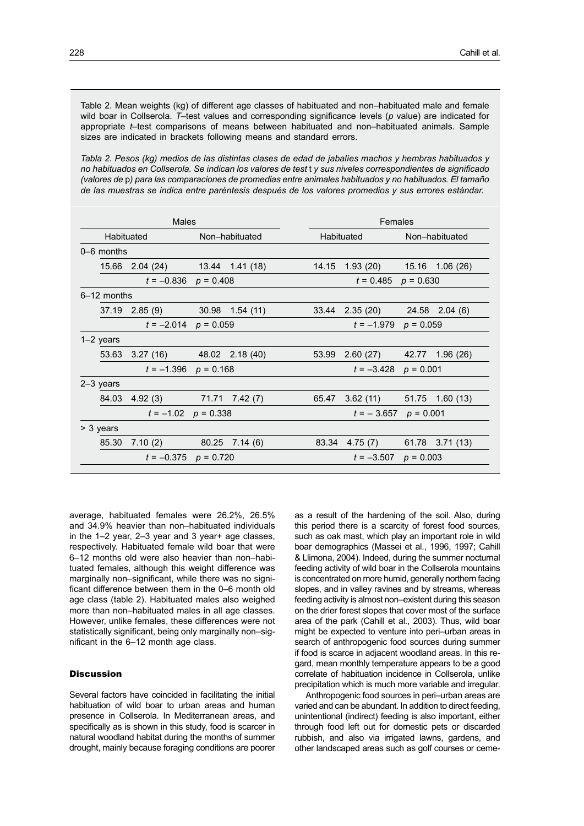Table 2. Mean weights (kg) of different age classes of habituated and non–habituated male and female wild boar in Collserola. *T*–test values and corresponding significance levels (*p* value) are indicated for appropriate *t*–test comparisons of means between habituated and non–habituated animals. Sample sizes are indicated in brackets following means and standard errors.

*Tabla 2. Pesos (kg) medios de las distintas clases de edad de jabalíes machos y hembras habituados y no habituados en Collserola. Se indican los valores de test* t *y sus niveles correspondientes de significado (valores de* p*) para las comparaciones de promedias entre animales habituados y no habituados. El tamaño de las muestras se indica entre paréntesis después de los valores promedios y sus errores estándar.*

| Males                    |                                 |  |                   |                          | Females                    |                               |                |                 |  |
|--------------------------|---------------------------------|--|-------------------|--------------------------|----------------------------|-------------------------------|----------------|-----------------|--|
|                          | Habituated                      |  | Non-habituated    |                          | Habituated                 |                               | Non-habituated |                 |  |
| 0–6 months               |                                 |  |                   |                          |                            |                               |                |                 |  |
|                          | 15.66 2.04 (24) 13.44 1.41 (18) |  |                   |                          | 14.15                      | 1.93 (20)                     |                | 15.16 1.06 (26) |  |
|                          | $t = -0.836$ $p = 0.408$        |  |                   |                          | $t = 0.485$<br>$p = 0.630$ |                               |                |                 |  |
| 6-12 months              |                                 |  |                   |                          |                            |                               |                |                 |  |
|                          | $37.19$ 2.85 (9)                |  | $30.98$ 1.54 (11) |                          |                            | 33.44 2.35 (20)               |                | 24.58 2.04 (6)  |  |
|                          | $t = -2.014$ $p = 0.059$        |  |                   |                          | $t = -1.979$ $p = 0.059$   |                               |                |                 |  |
| $1-2$ years              |                                 |  |                   |                          |                            |                               |                |                 |  |
| 53.63                    | $3.27(16)$ $48.02$ $2.18(40)$   |  |                   |                          | 53.99                      | 2.60(27)                      |                | 42.77 1.96 (26) |  |
| $t = -1.396$ $p = 0.168$ |                                 |  |                   | $t = -3.428$ $p = 0.001$ |                            |                               |                |                 |  |
| 2-3 years                |                                 |  |                   |                          |                            |                               |                |                 |  |
| 84.03                    | 4.92 (3) 71.71 7.42 (7)         |  |                   |                          | 65.47                      | $3.62(11)$ $51.75$ $1.60(13)$ |                |                 |  |
| $t = -1.02$ $p = 0.338$  |                                 |  |                   | $t = -3.657$ $p = 0.001$ |                            |                               |                |                 |  |
| > 3 years                |                                 |  |                   |                          |                            |                               |                |                 |  |
| 85.30                    | 7.10(2)                         |  | 80.25 7.14 (6)    |                          |                            | 83.34 4.75 (7)                |                | 61.78 3.71 (13) |  |
|                          | $t = -0.375$ $p = 0.720$        |  |                   |                          |                            | $t = -3.507$ $p = 0.003$      |                |                 |  |
|                          |                                 |  |                   |                          |                            |                               |                |                 |  |

average, habituated females were 26.2%, 26.5% and 34.9% heavier than non–habituated individuals in the 1–2 year, 2–3 year and 3 year+ age classes, respectively. Habituated female wild boar that were 6–12 months old were also heavier than non–habituated females, although this weight difference was marginally non–significant, while there was no significant difference between them in the 0–6 month old age class (table 2). Habituated males also weighed more than non–habituated males in all age classes. However, unlike females, these differences were not statistically significant, being only marginally non–significant in the 6–12 month age class.

## **Discussion**

Several factors have coincided in facilitating the initial habituation of wild boar to urban areas and human presence in Collserola. In Mediterranean areas, and specifically as is shown in this study, food is scarcer in natural woodland habitat during the months of summer drought, mainly because foraging conditions are poorer as a result of the hardening of the soil. Also, during this period there is a scarcity of forest food sources, such as oak mast, which play an important role in wild boar demographics (Massei et al., 1996, 1997; Cahill & Llimona, 2004). Indeed, during the summer nocturnal feeding activity of wild boar in the Collserola mountains is concentrated on more humid, generally northern facing slopes, and in valley ravines and by streams, whereas feeding activity is almost non–existent during this season on the drier forest slopes that cover most of the surface area of the park (Cahill et al., 2003). Thus, wild boar might be expected to venture into peri–urban areas in search of anthropogenic food sources during summer if food is scarce in adjacent woodland areas. In this regard, mean monthly temperature appears to be a good correlate of habituation incidence in Collserola, unlike precipitation which is much more variable and irregular.

Anthropogenic food sources in peri–urban areas are varied and can be abundant. In addition to direct feeding, unintentional (indirect) feeding is also important, either through food left out for domestic pets or discarded rubbish, and also via irrigated lawns, gardens, and other landscaped areas such as golf courses or ceme-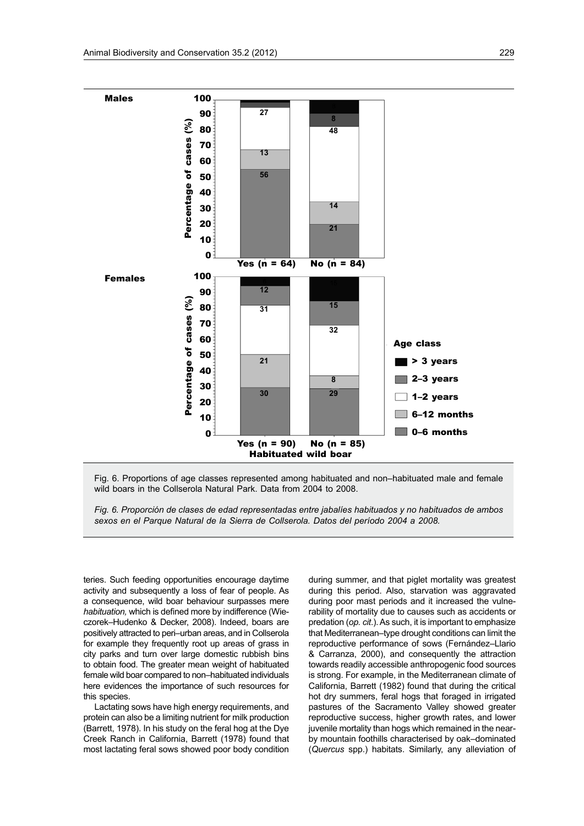

Fig. 6. Proportions of age classes represented among habituated and non–habituated male and female wild boars in the Collserola Natural Park. Data from 2004 to 2008.

*Fig. 6. Proporción de clases de edad representadas entre jabalíes habituados y no habituados de ambos sexos en el Parque Natural de la Sierra de Collserola. Datos del período 2004 a 2008.*

teries. Such feeding opportunities encourage daytime activity and subsequently a loss of fear of people. As a consequence, wild boar behaviour surpasses mere *habituation,* which is defined more by indifference (Wieczorek–Hudenko & Decker, 2008). Indeed, boars are positively attracted to peri–urban areas, and in Collserola for example they frequently root up areas of grass in city parks and turn over large domestic rubbish bins to obtain food. The greater mean weight of habituated female wild boar compared to non–habituated individuals here evidences the importance of such resources for this species.

Lactating sows have high energy requirements, and protein can also be a limiting nutrient for milk production (Barrett, 1978). In his study on the feral hog at the Dye Creek Ranch in California, Barrett (1978) found that most lactating feral sows showed poor body condition during summer, and that piglet mortality was greatest during this period. Also, starvation was aggravated during poor mast periods and it increased the vulnerability of mortality due to causes such as accidents or predation (*op. cit*.). As such, it is important to emphasize that Mediterranean–type drought conditions can limit the reproductive performance of sows (Fernández–Llario & Carranza, 2000), and consequently the attraction towards readily accessible anthropogenic food sources is strong. For example, in the Mediterranean climate of California, Barrett (1982) found that during the critical hot dry summers, feral hogs that foraged in irrigated pastures of the Sacramento Valley showed greater reproductive success, higher growth rates, and lower juvenile mortality than hogs which remained in the nearby mountain foothills characterised by oak–dominated (*Quercus* spp.) habitats. Similarly, any alleviation of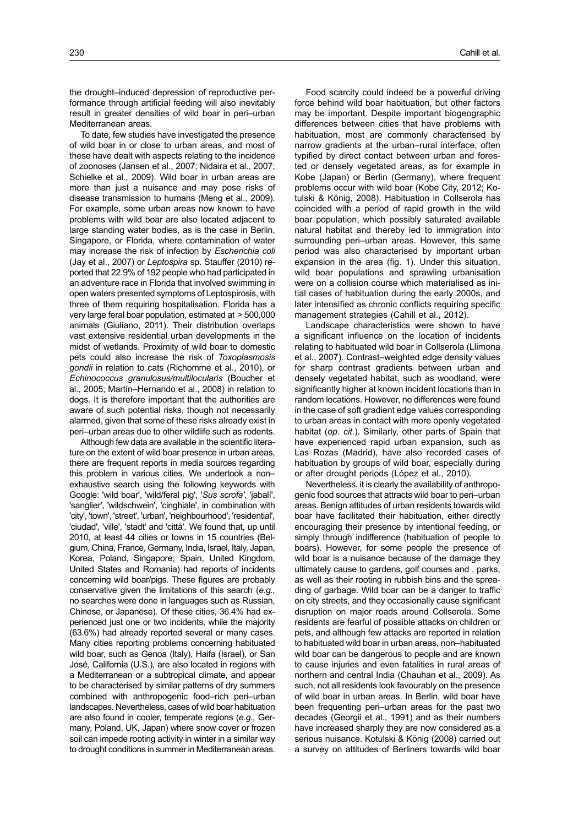the drought–induced depression of reproductive performance through artificial feeding will also inevitably result in greater densities of wild boar in peri–urban Mediterranean areas.

To date, few studies have investigated the presence of wild boar in or close to urban areas, and most of these have dealt with aspects relating to the incidence of zoonoses (Jansen et al., 2007; Nidaira et al., 2007; Schielke et al., 2009). Wild boar in urban areas are more than just a nuisance and may pose risks of disease transmission to humans (Meng et al., 2009). For example, some urban areas now known to have problems with wild boar are also located adjacent to large standing water bodies, as is the case in Berlin, Singapore, or Florida, where contamination of water may increase the risk of infection by *Escherichia coli* (Jay et al., 2007) or *Leptospira* sp. Stauffer (2010) reported that 22.9% of 192 people who had participated in an adventure race in Florida that involved swimming in open waters presented symptoms of Leptospirosis, with three of them requiring hospitalisation. Florida has a very large feral boar population, estimated at > 500,000 animals (Giuliano, 2011). Their distribution overlaps vast extensive residential urban developments in the midst of wetlands. Proximity of wild boar to domestic pets could also increase the risk of *Toxoplasmosis gondii* in relation to cats (Richomme et al., 2010), or *Echinococcus granulosus/multilocularis* (Boucher et al., 2005; Martín–Hernando et al., 2008) in relation to dogs. It is therefore important that the authorities are aware of such potential risks, though not necessarily alarmed, given that some of these risks already exist in peri–urban areas due to other wildlife such as rodents.

Although few data are available in the scientific literature on the extent of wild boar presence in urban areas, there are frequent reports in media sources regarding this problem in various cities. We undertook a non– exhaustive search using the following keywords with Google: 'wild boar', 'wild/feral pig', '*Sus scrofa'*, 'jabalí', 'sanglier', 'wildschwein', 'cinghiale', in combination with 'city', 'town', 'street', 'urban', 'neighbourhood', 'residential', 'ciudad', 'ville', 'stadt' and 'città'. We found that, up until 2010, at least 44 cities or towns in 15 countries (Belgium, China, France, Germany, India, Israel, Italy, Japan, Korea, Poland, Singapore, Spain, United Kingdom, United States and Romania) had reports of incidents concerning wild boar/pigs. These figures are probably conservative given the limitations of this search (*e.g.,* no searches were done in languages such as Russian, Chinese, or Japanese). Of these cities, 36.4% had experienced just one or two incidents, while the majority (63.6%) had already reported several or many cases. Many cities reporting problems concerning habituated wild boar, such as Genoa (Italy), Haifa (Israel), or San José, California (U.S.), are also located in regions with a Mediterranean or a subtropical climate, and appear to be characterised by similar patterns of dry summers combined with anthropogenic food–rich peri–urban landscapes. Nevertheless, cases of wild boar habituation are also found in cooler, temperate regions (*e.g.,* Germany, Poland, UK, Japan) where snow cover or frozen soil can impede rooting activity in winter in a similar way to drought conditions in summer in Mediterranean areas.

Food scarcity could indeed be a powerful driving force behind wild boar habituation, but other factors may be important. Despite important biogeographic differences between cities that have problems with habituation, most are commonly characterised by narrow gradients at the urban–rural interface, often typified by direct contact between urban and forested or densely vegetated areas, as for example in Kobe (Japan) or Berlin (Germany), where frequent problems occur with wild boar (Kobe City, 2012; Kotulski & König, 2008). Habituation in Collserola has coincided with a period of rapid growth in the wild boar population, which possibly saturated available natural habitat and thereby led to immigration into surrounding peri–urban areas. However, this same period was also characterised by important urban expansion in the area (fig. 1). Under this situation, wild boar populations and sprawling urbanisation were on a collision course which materialised as initial cases of habituation during the early 2000s, and later intensified as chronic conflicts requiring specific management strategies (Cahill et al., 2012).

Landscape characteristics were shown to have a significant influence on the location of incidents relating to habituated wild boar in Collserola (Llimona et al., 2007). Contrast–weighted edge density values for sharp contrast gradients between urban and densely vegetated habitat, such as woodland, were significantly higher at known incident locations than in random locations. However, no differences were found in the case of soft gradient edge values corresponding to urban areas in contact with more openly vegetated habitat (*op. cit*.). Similarly, other parts of Spain that have experienced rapid urban expansion, such as Las Rozas (Madrid), have also recorded cases of habituation by groups of wild boar, especially during or after drought periods (López et al., 2010).

Nevertheless, it is clearly the availability of anthropogenic food sources that attracts wild boar to peri–urban areas. Benign attitudes of urban residents towards wild boar have facilitated their habituation, either directly encouraging their presence by intentional feeding, or simply through indifference (habituation of people to boars). However, for some people the presence of wild boar is a nuisance because of the damage they ultimately cause to gardens, golf courses and , parks, as well as their rooting in rubbish bins and the spreading of garbage. Wild boar can be a danger to traffic on city streets, and they occasionally cause significant disruption on major roads around Collserola. Some residents are fearful of possible attacks on children or pets, and although few attacks are reported in relation to habituated wild boar in urban areas, non–habituated wild boar can be dangerous to people and are known to cause injuries and even fatalities in rural areas of northern and central India (Chauhan et al., 2009). As such, not all residents look favourably on the presence of wild boar in urban areas. In Berlin, wild boar have been frequenting peri–urban areas for the past two decades (Georgii et al., 1991) and as their numbers have increased sharply they are now considered as a serious nuisance. Kotulski & König (2008) carried out a survey on attitudes of Berliners towards wild boar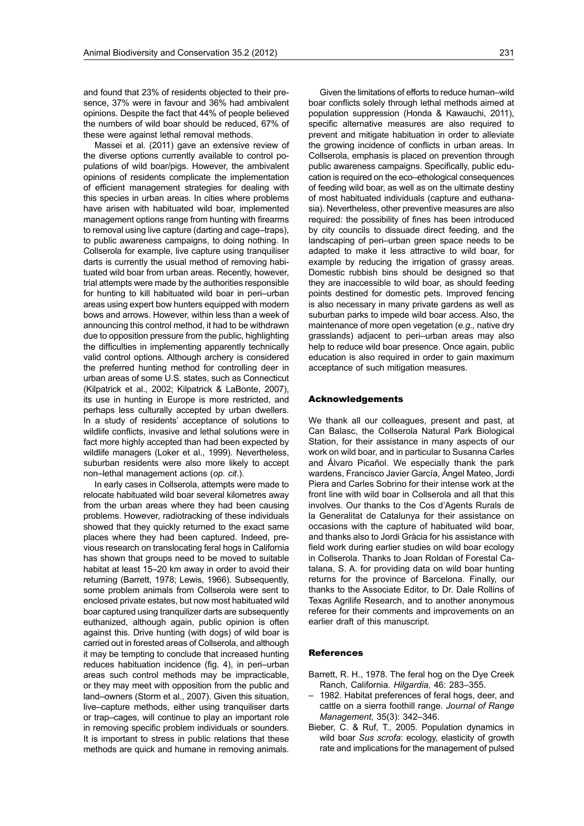and found that 23% of residents objected to their presence, 37% were in favour and 36% had ambivalent opinions. Despite the fact that 44% of people believed the numbers of wild boar should be reduced, 67% of these were against lethal removal methods.

Massei et al. (2011) gave an extensive review of the diverse options currently available to control populations of wild boar/pigs. However, the ambivalent opinions of residents complicate the implementation of efficient management strategies for dealing with this species in urban areas. In cities where problems have arisen with habituated wild boar, implemented management options range from hunting with firearms to removal using live capture (darting and cage–traps), to public awareness campaigns, to doing nothing. In Collserola for example, live capture using tranquiliser darts is currently the usual method of removing habituated wild boar from urban areas. Recently, however, trial attempts were made by the authorities responsible for hunting to kill habituated wild boar in peri–urban areas using expert bow hunters equipped with modern bows and arrows. However, within less than a week of announcing this control method, it had to be withdrawn due to opposition pressure from the public, highlighting the difficulties in implementing apparently technically valid control options. Although archery is considered the preferred hunting method for controlling deer in urban areas of some U.S. states, such as Connecticut (Kilpatrick et al., 2002; Kilpatrick & LaBonte, 2007), its use in hunting in Europe is more restricted, and perhaps less culturally accepted by urban dwellers. In a study of residents' acceptance of solutions to wildlife conflicts, invasive and lethal solutions were in fact more highly accepted than had been expected by wildlife managers (Loker et al., 1999). Nevertheless, suburban residents were also more likely to accept non–lethal management actions (*op. cit*.).

In early cases in Collserola, attempts were made to relocate habituated wild boar several kilometres away from the urban areas where they had been causing problems. However, radiotracking of these individuals showed that they quickly returned to the exact same places where they had been captured. Indeed, previous research on translocating feral hogs in California has shown that groups need to be moved to suitable habitat at least 15–20 km away in order to avoid their returning (Barrett, 1978; Lewis, 1966). Subsequently, some problem animals from Collserola were sent to enclosed private estates, but now most habituated wild boar captured using tranquilizer darts are subsequently euthanized, although again, public opinion is often against this. Drive hunting (with dogs) of wild boar is carried out in forested areas of Collserola, and although it may be tempting to conclude that increased hunting reduces habituation incidence (fig. 4), in peri–urban areas such control methods may be impracticable, or they may meet with opposition from the public and land–owners (Storm et al., 2007). Given this situation, live–capture methods, either using tranquiliser darts or trap–cages, will continue to play an important role in removing specific problem individuals or sounders. It is important to stress in public relations that these methods are quick and humane in removing animals.

Given the limitations of efforts to reduce human–wild boar conflicts solely through lethal methods aimed at population suppression (Honda & Kawauchi, 2011), specific alternative measures are also required to prevent and mitigate habituation in order to alleviate the growing incidence of conflicts in urban areas. In Collserola, emphasis is placed on prevention through public awareness campaigns. Specifically, public education is required on the eco–ethological consequences of feeding wild boar, as well as on the ultimate destiny of most habituated individuals (capture and euthanasia). Nevertheless, other preventive measures are also required: the possibility of fines has been introduced by city councils to dissuade direct feeding, and the landscaping of peri–urban green space needs to be adapted to make it less attractive to wild boar, for example by reducing the irrigation of grassy areas. Domestic rubbish bins should be designed so that they are inaccessible to wild boar, as should feeding points destined for domestic pets. Improved fencing is also necessary in many private gardens as well as suburban parks to impede wild boar access. Also, the maintenance of more open vegetation (*e.g.,* native dry grasslands) adjacent to peri–urban areas may also help to reduce wild boar presence. Once again, public education is also required in order to gain maximum acceptance of such mitigation measures.

#### Acknowledgements

We thank all our colleagues, present and past, at Can Balasc, the Collserola Natural Park Biological Station, for their assistance in many aspects of our work on wild boar, and in particular to Susanna Carles and Álvaro Picañol. We especially thank the park wardens, Francisco Javier García, Àngel Mateo, Jordi Piera and Carles Sobrino for their intense work at the front line with wild boar in Collserola and all that this involves. Our thanks to the Cos d'Agents Rurals de la Generalitat de Catalunya for their assistance on occasions with the capture of habituated wild boar, and thanks also to Jordi Gràcia for his assistance with field work during earlier studies on wild boar ecology in Collserola. Thanks to Joan Roldan of Forestal Catalana, S. A. for providing data on wild boar hunting returns for the province of Barcelona. Finally, our thanks to the Associate Editor, to Dr. Dale Rollins of Texas Agrilife Research, and to another anonymous referee for their comments and improvements on an earlier draft of this manuscript.

## References

- Barrett, R. H., 1978. The feral hog on the Dye Creek Ranch, California. *Hilgardia,* 46: 283–355.
- 1982. Habitat preferences of feral hogs, deer, and cattle on a sierra foothill range. *Journal of Range Management*, 35(3): 342–346.
- Bieber, C. & Ruf, T., 2005. Population dynamics in wild boar *Sus scrofa*: ecology, elasticity of growth rate and implications for the management of pulsed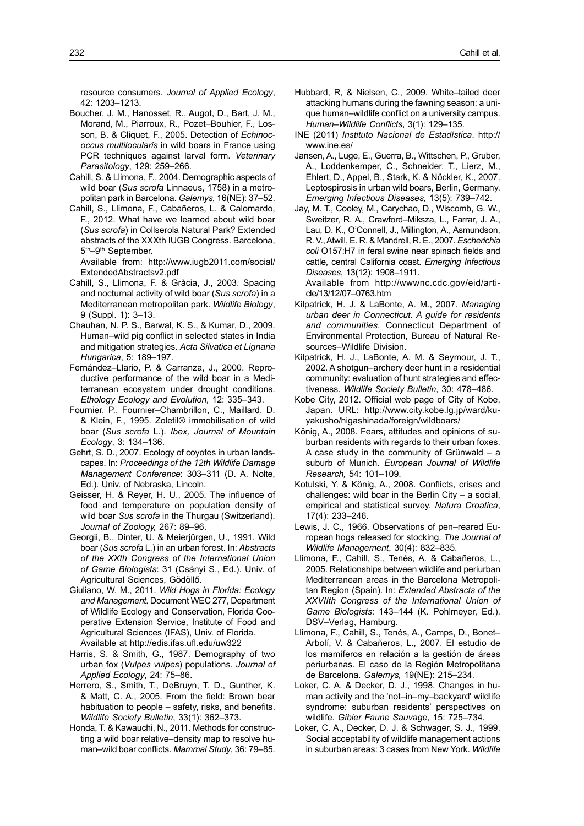resource consumers. *Journal of Applied Ecology*, 42: 1203–1213.

- Boucher, J. M., Hanosset, R., Augot, D., Bart, J. M., Morand, M., Piarroux, R., Pozet–Bouhier, F., Losson, B. & Cliquet, F., 2005. Detection of *Echinococcus multilocularis* in wild boars in France using PCR techniques against larval form. *Veterinary Parasitology*, 129: 259–266.
- Cahill, S. & Llimona, F., 2004. Demographic aspects of wild boar (*Sus scrofa* Linnaeus, 1758) in a metropolitan park in Barcelona. *Galemys,* 16(NE): 37–52.
- Cahill, S., Llimona, F., Cabañeros, L. & Calomardo, F., 2012. What have we learned about wild boar (*Sus scrofa*) in Collserola Natural Park? Extended abstracts of the XXXth IUGB Congress. Barcelona, 5th–9th September.

Available from: [http://www.iugb2011.com/social/](http://www.iugb2011.com/social/ExtendedAbstractsv2.pdf) [ExtendedAbstractsv2.pdf](http://www.iugb2011.com/social/ExtendedAbstractsv2.pdf)

- Cahill, S., Llimona, F. & Gràcia, J., 2003. Spacing and nocturnal activity of wild boar (*Sus scrofa*) in a Mediterranean metropolitan park. *Wildlife Biology*, 9 (Suppl. 1): 3–13.
- Chauhan, N. P. S., Barwal, K. S., & Kumar, D., 2009. Human–wild pig conflict in selected states in India and mitigation strategies. *Acta Silvatica et Lignaria Hungarica*, 5: 189–197.
- Fernández–Llario, P. & Carranza, J., 2000. Reproductive performance of the wild boar in a Mediterranean ecosystem under drought conditions. *Ethology Ecology and Evolution,* 12: 335–343.
- Fournier, P., Fournier–Chambrillon, C., Maillard, D. & Klein, F., 1995. Zoletil® immobilisation of wild boar (*Sus scrofa* L.). *Ibex, Journal of Mountain Ecology*, 3: 134–136.
- Gehrt, S. D., 2007. Ecology of coyotes in urban landscapes. In: *Proceedings of the 12th Wildlife Damage Management Conference*: 303–311 (D. A. Nolte, Ed.). Univ. of Nebraska, Lincoln.
- Geisser, H. & Reyer, H. U., 2005. The influence of food and temperature on population density of wild boar *Sus scrofa* in the Thurgau (Switzerland). *Journal of Zoology,* 267: 89–96.
- Georgii, B., Dinter, U. & Meierjürgen, U., 1991. Wild boar (*Sus scrofa* L.) in an urban forest. In: *Abstracts of the XXth Congress of the International Union of Game Biologists*: 31 (Csányi S., Ed.). Univ. of Agricultural Sciences, Gödöllő.
- Giuliano, W. M., 2011. *Wild Hogs in Florida: Ecology and Management*. Document WEC 277, Department of Wildlife Ecology and Conservation, Florida Cooperative Extension Service, Institute of Food and Agricultural Sciences (IFAS), Univ. of Florida. Available at <http://edis.ifas.ufl.edu/uw322>
- Harris, S. & Smith, G., 1987. Demography of two urban fox (*Vulpes vulpes*) populations. *Journal of Applied Ecology*, 24: 75–86.
- Herrero, S., Smith, T., DeBruyn, T. D., Gunther, K. & Matt, C. A., 2005. From the field: Brown bear habituation to people – safety, risks, and benefits. *Wildlife Society Bulletin*, 33(1): 362–373.
- Honda, T. & Kawauchi, N., 2011. Methods for constructing a wild boar relative–density map to resolve human–wild boar conflicts. *Mammal Study*, 36: 79–85.
- Hubbard, R, & Nielsen, C., 2009. White–tailed deer attacking humans during the fawning season: a unique human–wildlife conflict on a university campus. *Human–Wildlife Conflicts*, 3(1): 129–135.
- INE (2011) *Instituto Nacional de Estadística*. [http://](http://www.ine.es/) [www.ine.es/](http://www.ine.es/)
- Jansen, A., Luge, E., Guerra, B., Wittschen, P., Gruber, A., Loddenkemper, C., Schneider, T., Lierz, M., Ehlert, D., Appel, B., Stark, K. & Nöckler, K., 2007. Leptospirosis in urban wild boars, Berlin, Germany. *Emerging Infectious Diseases,* 13(5): 739–742.
- Jay, M. T., Cooley, M., Carychao, D., Wiscomb, G. W., Sweitzer, R. A., Crawford–Miksza, L., Farrar, J. A., Lau, D. K., O'Connell, J., Millington, A., Asmundson, R. V., Atwill, E. R. & Mandrell, R. E., 2007. *Escherichia coli* O157:H7 in feral swine near spinach fields and cattle, central California coast. *Emerging Infectious Diseases*, 13(12): 1908–1911.

Available from [http://wwwnc.cdc.gov/eid/arti](http://wwwnc.cdc.gov/eid/article/13/12/07-0763.htm)[cle/13/12/07–0763.htm](http://wwwnc.cdc.gov/eid/article/13/12/07-0763.htm)

- Kilpatrick, H. J. & LaBonte, A. M., 2007. *Managing urban deer in Connecticut. A guide for residents and communities*. Connecticut Department of Environmental Protection, Bureau of Natural Resources–Wildlife Division.
- Kilpatrick, H. J., LaBonte, A. M. & Seymour, J. T., 2002. A shotgun–archery deer hunt in a residential community: evaluation of hunt strategies and effectiveness. *Wildlife Society Bulletin*, 30: 478–486.
- Kobe City, 2012. Official web page of City of Kobe, Japan. URL: [http://www.city.kobe.lg.jp/ward/ku](http://www.city.kobe.lg.jp/ward/kuyakusho/higashinada/foreign/wildboars/)[yakusho/higashinada/foreign/wildboars/](http://www.city.kobe.lg.jp/ward/kuyakusho/higashinada/foreign/wildboars/)
- König, A., 2008. Fears, attitudes and opinions of suburban residents with regards to their urban foxes. A case study in the community of Grünwald – a suburb of Munich. *European Journal of Wildlife Research,* 54: 101–109.
- Kotulski, Y. & König, A., 2008. Conflicts, crises and challenges: wild boar in the Berlin City – a social, empirical and statistical survey. *Natura Croatica*, 17(4): 233–246.
- Lewis, J. C., 1966. Observations of pen–reared European hogs released for stocking. *The Journal of Wildlife Management*, 30(4): 832–835.
- Llimona, F., Cahill, S., Tenés, A. & Cabañeros, L., 2005. Relationships between wildlife and periurban Mediterranean areas in the Barcelona Metropolitan Region (Spain). In: *Extended Abstracts of the XXVIIth Congress of the International Union of Game Biologists*: 143–144 (K. Pohlmeyer, Ed.). DSV–Verlag, Hamburg.
- Llimona, F., Cahill, S., Tenés, A., Camps, D., Bonet– Arbolí, V. & Cabañeros, L., 2007. El estudio de los mamíferos en relación a la gestión de áreas periurbanas. El caso de la Región Metropolitana de Barcelona. *Galemys,* 19(NE): 215–234.
- Loker, C. A. & Decker, D. J., 1998. Changes in human activity and the 'not–in–my–backyard' wildlife syndrome: suburban residents' perspectives on wildlife. *Gibier Faune Sauvage*, 15: 725–734.
- Loker, C. A., Decker, D. J. & Schwager, S. J., 1999. Social acceptability of wildlife management actions in suburban areas: 3 cases from New York. *Wildlife*